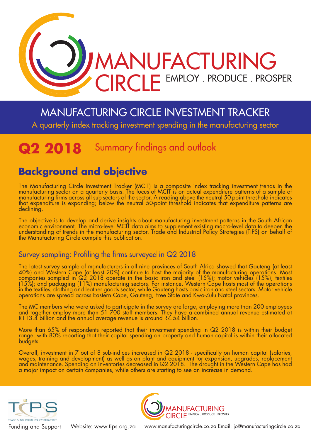

# MANUFACTURING CIRCLE INVESTMENT TRACKER

A quarterly index tracking investment spending in the manufacturing sector

# **Q2 2018** Summary findings and outlook

## **Background and objective**

The Manufacturing Circle Investment Tracker (MCIT) is a composite index tracking investment trends in the manufacturing sector on a quarterly basis. The focus of MCIT is on actual expenditure patterns of a sample of manufacturing firms across all sub-sectors of the sector. A reading above the neutral 50-point threshold indicates that expenditure is expanding; below the neutral 50-point threshold indicates that expenditure patterns are declining.

The objective is to develop and derive insights about manufacturing investment patterns in the South African economic environment. The micro-level MCIT data aims to supplement existing macro-level data to deepen the understanding of trends in the manufacturing sector. Trade and Industrial Policy Strategies (TIPS) on behalf of the Manufacturing Circle compile this publication.

### Survey sampling: Profiling the firms surveyed in Q2 2018

The latest survey sample of manufacturers in all nine provinces of South Africa showed that Gauteng (at least 40%) and Western Cape (at least 20%) continue to host the majority of the manufacturing operations. Most companies sampled in Q2 2018 operate in the basic iron and steel (15%); motor vehicles (15%); textiles (15%); and packaging (11%) manufacturing sectors. For instance, Western Cape hosts most of the operations in the textiles, clothing and leather goods sector, while Gauteng hosts basic iron and steel sectors. Motor vehicle operations are spread across Eastern Cape, Gauteng, Free State and Kwa-Zulu Natal provinces.

The MC members who were asked to participate in the survey are large, employing more than 200 employees and together employ more than 51 700 staff members. They have a combined annual revenue estimated at R113.4 billion and the annual average revenue is around R4.54 billion.

More than 65% of respondents reported that their investment spending in Q2 2018 is within their budget range, with 80% reporting that their capital spending on property and human capital is within their allocated budgets.

Overall, investment in 7 out of 8 sub-indices increased in Q2 2018 - specifically on human capital (salaries, wages, training and development) as well as on plant and equipment for expansion, upgrades, replacement and maintenance. Spending on inventories decreased in Q2 2018. The drought in the Western Cape has had a major impact on certain companies, while others are starting to see an increase in demand.





Website: www.tips.org.za www.manufacturingcircle.co.za Email: jo@manufacturingcircle.co.za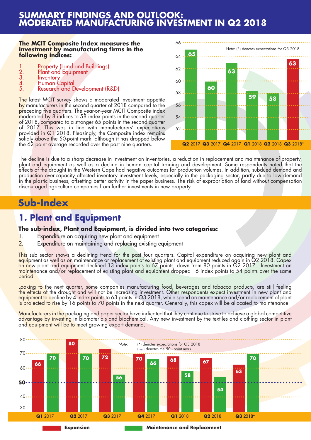### **SUMMARY FINDINGS AND OUTLOOK: MODERATED MANUFACTURING INVESTMENT IN Q2 2018**

#### **The MCIT Composite Index measures the investment by manufacturing firms in the following indices:**

- 
- 
- 
- 
- 1. Property (Land and Buildings)<br>
2. Plant and Equipment<br>
3. Inventory<br>
4. Human Capital<br>
5. Research and Development (R&D)

The latest MCIT survey shows a moderated investment appetite by manufacturers in the second quarter of 2018 compared to the preceding five quarters. The year-on-year MCIT Composite index moderated by 8 indices to 58 index points in the second quarter of 2018, compared to a stronger 65 points in the second quarter of 2017. This was in line with manufacturers' expectations provided in Q1 2018. Pleasingly, the Composite index remains solidly above the 50-point mark, although it has dropped below the 62 point average recorded over the past nine quarters.



The decline is due to a sharp decrease in investment on inventories, a reduction in replacement and maintenance of property, plant and equipment as well as a decline in human capital training and development. Some respondents noted that the effects of the drought in the Western Cape had negative outcomes for production volumes. In addition, subdued demand and production over-capacity affected inventory investment levels, especially in the packaging sector, partly due to low demand in the plastic business, offsetting better activity in the paper business. The risk of expropriation of land without compensation discouraged agriculture companies from further investments in new property.

## **Sub-Index**

### **1. Plant and Equipment**

#### **The sub-index, Plant and Equipment, is divided into two categories:**

- 1. Expenditure on acquiring new plant and equipment
- 2. Expenditure on maintaining and replacing existing equipment

This sub sector shows a declining trend for the past four quarters. Capital expenditure on acquiring new plant and equipment as well as on maintenance or replacement of existing plant and equipment reduced again in Q2 2018. Capex on new plant and equipment declined 13 index points to 67 points, down from 80 points in Q2 2017. Investment on maintenance and/or replacement of existing plant and equipment dropped 16 index points to 54 points over the same period.

Looking to the next quarter, some companies manufacturing food, beverages and tobacco products, are still feeling t<mark>he effects of</mark> the drought and will not be increasing investment. Other respondents expect investment in new plant and equipment to decline by 4 index points to 63 points in Q3 2018, while spend on maintenance and/or replacement of plant is projected to rise by 16 points to 70 points in the next quarter. Generally, this capex will be allocated to maintenance.

Manufacturers in the packaging and paper sector have indicated that they continue to strive to achieve a global competitive advantage by investing in biomaterials and biochemical. Any new investment by the textiles and clothing sector in plant and equipment will be to meet growing export demand.

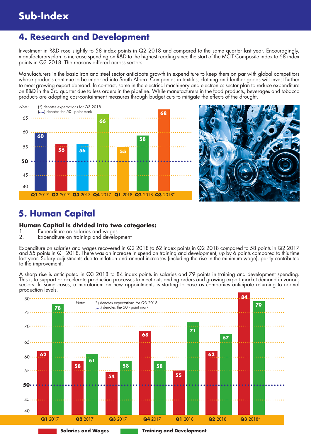### **4. Research and Development**

Investment in R&D rose slightly to 58 index points in Q2 2018 and compared to the same quarter last year. Encouragingly, manufacturers plan to increase spending on R&D to the highest reading since the start of the MCIT Composite index to 68 index points in Q3 2018. The reasons differed across sectors.

Manufacturers in the basic iron and steel sector anticipate growth in expenditure to keep them on par with global competitors whose products continue to be imported into South Africa. Companies in textiles, clothing and leather goods will invest further to meet growing export demand. In contrast, some in the electrical machinery and electronics sector plan to reduce expenditure on R&D in the 3rd quarter due to less orders in the pipeline. While manufacturers in the food products, beverages and tobacco products are adopting cost-containment measures through budget cuts to mitigate the effects of the drought.





### **5. Human Capital**

#### **Human Capital is divided into two categories:**

- 1. Expenditure on salaries and wages
- Expenditure on training and development

Expenditure on salaries and wages recovered in Q2 2018 to 62 index points in Q2 2018 compared to 58 points in Q2 2017 and 55 points in Q1 2018. There was an increase in spend on training and development, up by 6 points compared to this time last year. Salary adjustments due to inflation and annual increases (including the rise in the minimum wage), partly contributed to the improvement.

A sharp rise is anticipated in Q3 2018 to 84 index points in salaries and 79 points in training and development spending. This is to support or accelerate production processes to meet outstanding orders and growing export market demand in various sectors. In some cases, a moratorium on new appointments is starting to ease as companies anticipate returning to normal production levels.